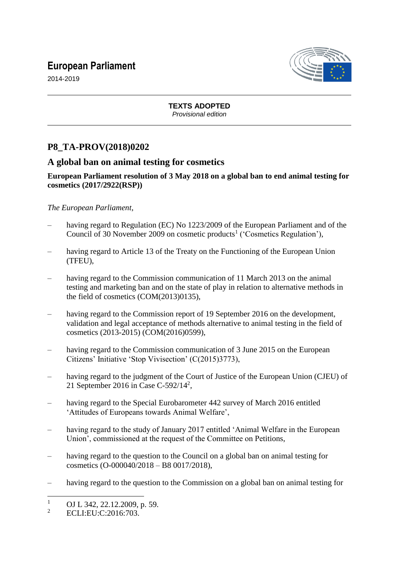# **European Parliament**



2014-2019

**TEXTS ADOPTED** *Provisional edition*

# **P8\_TA-PROV(2018)0202**

# **A global ban on animal testing for cosmetics**

#### **European Parliament resolution of 3 May 2018 on a global ban to end animal testing for cosmetics (2017/2922(RSP))**

# *The European Parliament*,

- having regard to Regulation (EC) No 1223/2009 of the European Parliament and of the Council of 30 November 2009 on cosmetic products<sup>1</sup> ('Cosmetics Regulation'),
- having regard to Article 13 of the Treaty on the Functioning of the European Union (TFEU),
- having regard to the Commission communication of 11 March 2013 on the animal testing and marketing ban and on the state of play in relation to alternative methods in the field of cosmetics (COM(2013)0135),
- having regard to the Commission report of 19 September 2016 on the development, validation and legal acceptance of methods alternative to animal testing in the field of cosmetics (2013-2015) (COM(2016)0599),
- having regard to the Commission communication of 3 June 2015 on the European Citizens' Initiative 'Stop Vivisection' (C(2015)3773),
- having regard to the judgment of the Court of Justice of the European Union (CJEU) of 21 September 2016 in Case C-592/14<sup>2</sup>,
- having regard to the Special Eurobarometer 442 survey of March 2016 entitled 'Attitudes of Europeans towards Animal Welfare',
- having regard to the study of January 2017 entitled 'Animal Welfare in the European Union', commissioned at the request of the Committee on Petitions,
- having regard to the question to the Council on a global ban on animal testing for cosmetics (O-000040/2018 – B8 0017/2018),
- having regard to the question to the Commission on a global ban on animal testing for

 $\overline{a}$ 

 $\frac{1}{2}$  OJ L 342, 22.12.2009, p. 59.

ECLI:EU:C:2016:703.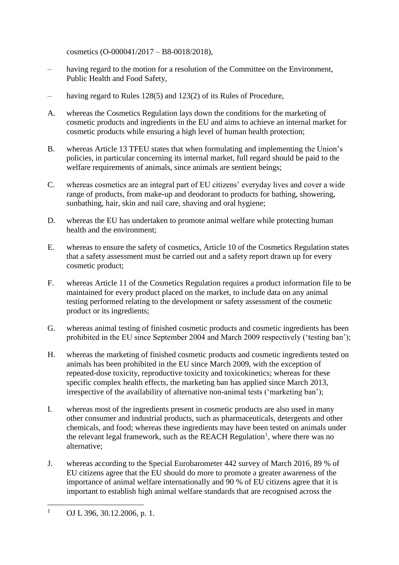cosmetics (O-000041/2017 – B8-0018/2018),

- having regard to the motion for a resolution of the Committee on the Environment, Public Health and Food Safety,
- having regard to Rules 128(5) and 123(2) of its Rules of Procedure,
- A. whereas the Cosmetics Regulation lays down the conditions for the marketing of cosmetic products and ingredients in the EU and aims to achieve an internal market for cosmetic products while ensuring a high level of human health protection;
- B. whereas Article 13 TFEU states that when formulating and implementing the Union's policies, in particular concerning its internal market, full regard should be paid to the welfare requirements of animals, since animals are sentient beings;
- C. whereas cosmetics are an integral part of EU citizens' everyday lives and cover a wide range of products, from make-up and deodorant to products for bathing, showering, sunbathing, hair, skin and nail care, shaving and oral hygiene;
- D. whereas the EU has undertaken to promote animal welfare while protecting human health and the environment;
- E. whereas to ensure the safety of cosmetics, Article 10 of the Cosmetics Regulation states that a safety assessment must be carried out and a safety report drawn up for every cosmetic product;
- F. whereas Article 11 of the Cosmetics Regulation requires a product information file to be maintained for every product placed on the market, to include data on any animal testing performed relating to the development or safety assessment of the cosmetic product or its ingredients;
- G. whereas animal testing of finished cosmetic products and cosmetic ingredients has been prohibited in the EU since September 2004 and March 2009 respectively ('testing ban');
- H. whereas the marketing of finished cosmetic products and cosmetic ingredients tested on animals has been prohibited in the EU since March 2009, with the exception of repeated-dose toxicity, reproductive toxicity and toxicokinetics; whereas for these specific complex health effects, the marketing ban has applied since March 2013, irrespective of the availability of alternative non-animal tests ('marketing ban');
- I. whereas most of the ingredients present in cosmetic products are also used in many other consumer and industrial products, such as pharmaceuticals, detergents and other chemicals, and food; whereas these ingredients may have been tested on animals under the relevant legal framework, such as the REACH Regulation<sup>1</sup>, where there was no alternative;
- J. whereas according to the Special Eurobarometer 442 survey of March 2016, 89 % of EU citizens agree that the EU should do more to promote a greater awareness of the importance of animal welfare internationally and 90 % of EU citizens agree that it is important to establish high animal welfare standards that are recognised across the

 $\mathbf{1}$ OJ L 396, 30.12.2006, p. 1.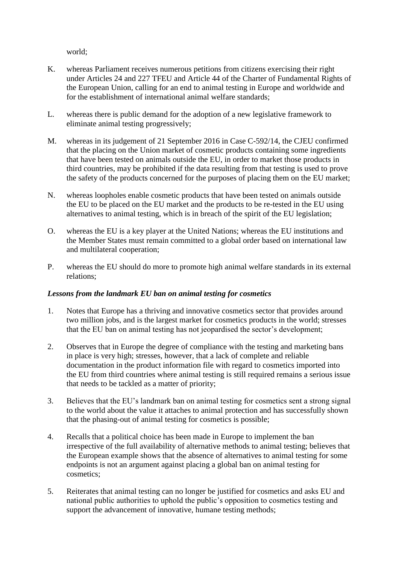world;

- K. whereas Parliament receives numerous petitions from citizens exercising their right under Articles 24 and 227 TFEU and Article 44 of the Charter of Fundamental Rights of the European Union, calling for an end to animal testing in Europe and worldwide and for the establishment of international animal welfare standards;
- L. whereas there is public demand for the adoption of a new legislative framework to eliminate animal testing progressively;
- M. whereas in its judgement of 21 September 2016 in Case C-592/14, the CJEU confirmed that the placing on the Union market of cosmetic products containing some ingredients that have been tested on animals outside the EU, in order to market those products in third countries, may be prohibited if the data resulting from that testing is used to prove the safety of the products concerned for the purposes of placing them on the EU market;
- N. whereas loopholes enable cosmetic products that have been tested on animals outside the EU to be placed on the EU market and the products to be re-tested in the EU using alternatives to animal testing, which is in breach of the spirit of the EU legislation;
- O. whereas the EU is a key player at the United Nations; whereas the EU institutions and the Member States must remain committed to a global order based on international law and multilateral cooperation;
- P. whereas the EU should do more to promote high animal welfare standards in its external relations;

### *Lessons from the landmark EU ban on animal testing for cosmetics*

- 1. Notes that Europe has a thriving and innovative cosmetics sector that provides around two million jobs, and is the largest market for cosmetics products in the world; stresses that the EU ban on animal testing has not jeopardised the sector's development;
- 2. Observes that in Europe the degree of compliance with the testing and marketing bans in place is very high; stresses, however, that a lack of complete and reliable documentation in the product information file with regard to cosmetics imported into the EU from third countries where animal testing is still required remains a serious issue that needs to be tackled as a matter of priority;
- 3. Believes that the EU's landmark ban on animal testing for cosmetics sent a strong signal to the world about the value it attaches to animal protection and has successfully shown that the phasing-out of animal testing for cosmetics is possible;
- 4. Recalls that a political choice has been made in Europe to implement the ban irrespective of the full availability of alternative methods to animal testing; believes that the European example shows that the absence of alternatives to animal testing for some endpoints is not an argument against placing a global ban on animal testing for cosmetics;
- 5. Reiterates that animal testing can no longer be justified for cosmetics and asks EU and national public authorities to uphold the public's opposition to cosmetics testing and support the advancement of innovative, humane testing methods;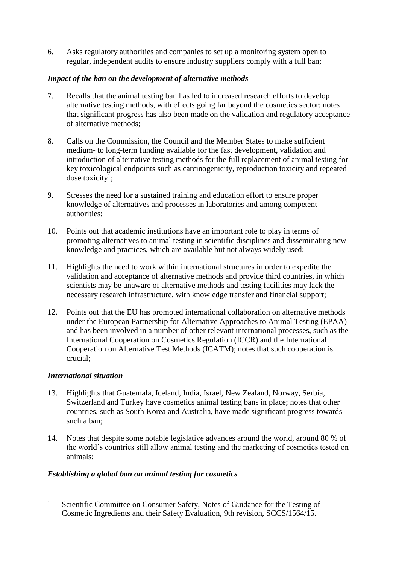6. Asks regulatory authorities and companies to set up a monitoring system open to regular, independent audits to ensure industry suppliers comply with a full ban;

# *Impact of the ban on the development of alternative methods*

- 7. Recalls that the animal testing ban has led to increased research efforts to develop alternative testing methods, with effects going far beyond the cosmetics sector; notes that significant progress has also been made on the validation and regulatory acceptance of alternative methods;
- 8. Calls on the Commission, the Council and the Member States to make sufficient medium- to long-term funding available for the fast development, validation and introduction of alternative testing methods for the full replacement of animal testing for key toxicological endpoints such as carcinogenicity, reproduction toxicity and repeated dose toxicity<sup>1</sup>;
- 9. Stresses the need for a sustained training and education effort to ensure proper knowledge of alternatives and processes in laboratories and among competent authorities;
- 10. Points out that academic institutions have an important role to play in terms of promoting alternatives to animal testing in scientific disciplines and disseminating new knowledge and practices, which are available but not always widely used;
- 11. Highlights the need to work within international structures in order to expedite the validation and acceptance of alternative methods and provide third countries, in which scientists may be unaware of alternative methods and testing facilities may lack the necessary research infrastructure, with knowledge transfer and financial support;
- 12. Points out that the EU has promoted international collaboration on alternative methods under the European Partnership for Alternative Approaches to Animal Testing (EPAA) and has been involved in a number of other relevant international processes, such as the International Cooperation on Cosmetics Regulation (ICCR) and the International Cooperation on Alternative Test Methods (ICATM); notes that such cooperation is crucial;

### *International situation*

- 13. Highlights that Guatemala, Iceland, India, Israel, New Zealand, Norway, Serbia, Switzerland and Turkey have cosmetics animal testing bans in place; notes that other countries, such as South Korea and Australia, have made significant progress towards such a ban;
- 14. Notes that despite some notable legislative advances around the world, around 80 % of the world's countries still allow animal testing and the marketing of cosmetics tested on animals;

### *Establishing a global ban on animal testing for cosmetics*

 $\overline{a}$ <sup>1</sup> Scientific Committee on Consumer Safety, Notes of Guidance for the Testing of Cosmetic Ingredients and their Safety Evaluation, 9th revision, SCCS/1564/15.